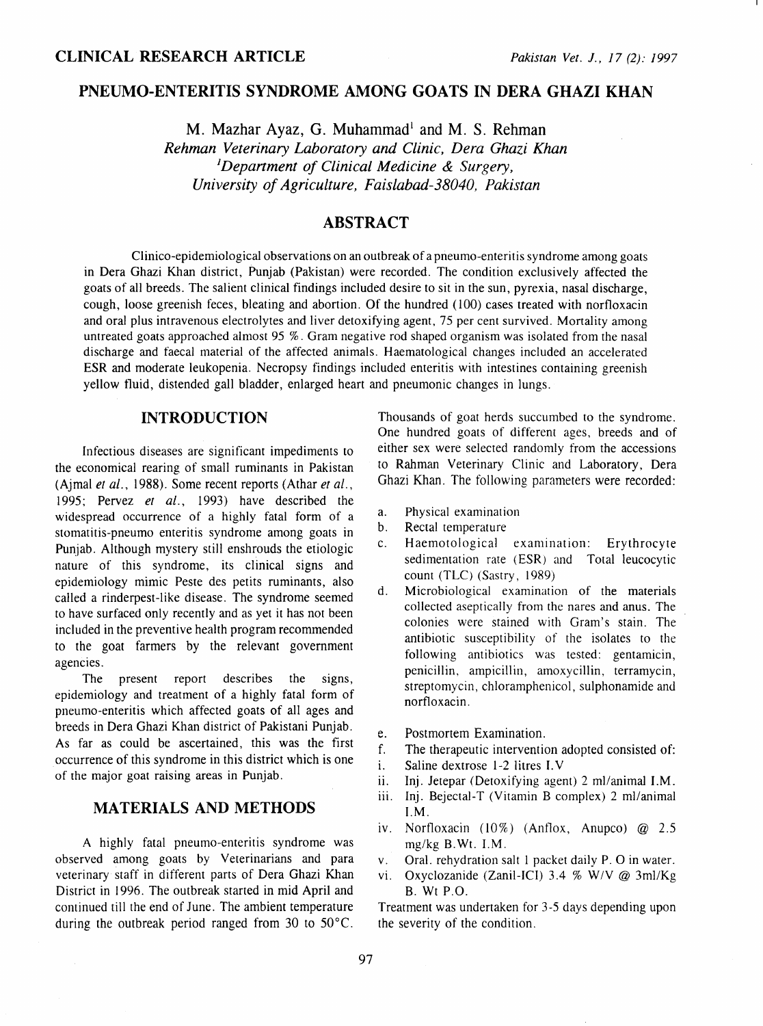# PNEUMO-ENTERITIS SYNDROME AMONG GOATS IN DERA GHAZI KHAN

 $M.$  Mazhar Ayaz, G. Muhammad<sup>1</sup> and M. S. Rehman *Rehman Veterinary Laboratory and Clinic, Dera Ghazi Khan* 1 *Depanment of Clinical Medicine* & *Surgery, University of Agriculture, Faislabad-38040, Pakistan* 

# ABSTRACT

Clinico-epidemiological observations on an outbreak of a pneumo-enteritis syndrome among goats in Dera Ghazi Khan district, Punjab (Pakistan) were recorded. The condition exclusively affected the goats of all breeds. The salient clinical findings included desire to sit in the sun, pyrexia, nasal discharge, cough, loose greenish feces, bleating and abortion. Of the hundred (100) cases treated with norfloxacin and oral plus intravenous electrolytes and liver detoxifying agent, 75 per cent survived. Mortality among untreated goats approached almost 95 %. Gram negative rod shaped organism was isolated from the nasal discharge and faecal material of the affected animals. Haematological changes included an accelerated ESR and moderate leukopenia. Necropsy findings included enteritis with intestines containing greenish yellow fluid, distended gall bladder, enlarged heart and pneumonic changes in lungs.

## INTRODUCTION

Infectious diseases are significant impediments to the economical rearing of small ruminants in Pakistan (Ajmal *et al.,* 1988). Some recent reports (Athar *et al.,*  1995; Pervez *et al.,* 1993) have described the widespread occurrence of a highly fatal form of a stomatitis-pneuma enteritis syndrome among goats in Punjab. Although mystery still enshrouds the etiologic nature of this syndrome, its clinical signs and epidemiology mimic Peste des petits ruminants, also called a rinderpest-like disease. The syndrome seemed to have surfaced only recently and as yet it has not been included in the preventive health program recommended to the goat farmers by the relevant government agencies.

The present report describes the signs, epidemiology and treatment of a highly fatal form of pneumo-enteritis which affected goats of all ages and breeds in Dera Ghazi Khan district of Pakistani Punjab. As far as could be ascertained, this was the first occurrence of this syndrome in this district which is one of the major goat raising areas in Punjab.

## MATERIALS AND METHODS

A highly fatal pneumo-enteritis syndrome was observed among goats by Veterinarians and para veterinary staff in different parts of Dera Ghazi Khan District in 1996. The outbreak started in mid April and continued till the end of June. The ambient temperature during the outbreak period ranged from 30 to 50°C.

Thousands of goat herds succumbed to the syndrome. One hundred goats of different ages, breeds and of either sex were selected randomly from the accessions to Rahman Veterinary Clinic and Laboratory, Dera Ghazi Khan. The following parameters were recorded:

- a. Physical examination
- b. Rectal temperature
- c. Haemotological examination: Erythrocyte sedimentation rate (ESR) and Total leucocytic count (TLC) (Sastry, 1989)
- d. Microbiological examination of the materials collected aseptically from the nares and anus. The colonies were stained with Gram's stain. The antibiotic susceptibility of the isolates to the following antibiotics was tested: gentamicin, penicillin, ampicillin, amoxycillin, terramycin, streptomycin, chloramphenicol, sulphonamide and norfloxacin.
- e. Postmortem Examination.
- f. The therapeutic intervention adopted consisted of:
- i. Saline dextrose 1-2 litres I. V
- ii. lnj. Jetepar (Detoxifying agent) 2 ml/animal I.M.
- iii. Inj. Bejectal-T (Vitamin B complex) 2 ml/animal I.M.
- iv. Nortloxacin (10%) (Antlox, Anupco) @ 2.5 mg/kg B.Wt. I.M.
- v. Oral. rehydration salt 1 packet daily P. 0 in water.
- vi. Oxyclozanide (Zanil-ICI) 3.4 % W/V @ 3ml/Kg B. Wt P.O.

Treatment was undertaken for 3-5 days depending upon the severity of the condition.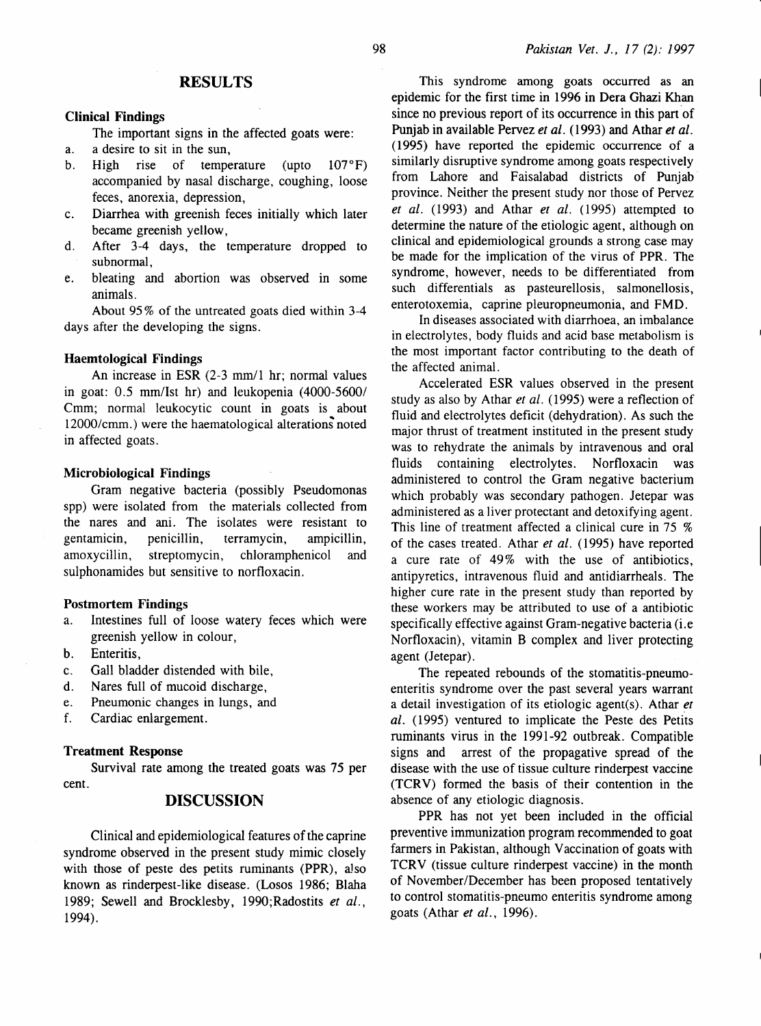### **RESULTS**

#### Clinical Findings

The important signs in the affected goats were:

- a. a desire to sit in the sun,
- b. High rise of temperature (upto 107°F) accompanied by nasal discharge, coughing, loose feces, anorexia, depression,
- c. Diarrhea with greenish feces initially which later became greenish yellow,
- d. After 3-4 days, the temperature dropped to subnormal,
- e. bleating and abortion was observed in some animals.

About 95% of the untreated goats died within 3-4 days after the developing the signs.

#### Haemtological Findings

An increase in ESR (2-3 mm/1 hr; normal values in goat: 0.5 mm/Ist hr) and leukopenia (4000-5600/ Cmm; normal leukocytic count in goats is about 12000/cmm.) were the haematological alterations noted in affected goats.

#### Microbiological Findings

Gram negative bacteria (possibly Pseudomonas spp) were isolated from the materials collected from the nares and ani. The isolates were resistant to gentamicin, penicillin, terramycin, ampicillin, amoxycillin, streptomycin, chloramphenicol and sulphonamides but sensitive to norfloxacin.

#### Postmortem Findings

- a. Intestines full of loose watery feces which were greenish yellow in colour,
- b. Enteritis,
- c. Gall bladder distended with bile,
- d. Nares full of mucoid discharge,
- e. Pneumonic changes in lungs, and
- f. Cardiac enlargement.

#### Treatment Response

Survival rate among the treated goats was 75 per cent.

### DISCUSSION

Clinical and epidemiological features of the caprine syndrome observed in the present study mimic closely with those of peste des petits ruminants (PPR), also known as rinderpest-like disease. (Losos 1986; Blaha 1989; Sewell and Brocklesby, 1990; Radostits *et al.* , 1994).

This syndrome among goats occurred as an epidemic for the first time in 1996 in Dera Ghazi Khan since no previous report of its occurrence in this part of Punjab in available Pervez *et al.* (1993) and Athar *et al.*  ( 1995) have reported the epidemic occurrence of a similarly disruptive syndrome among goats respectively from Lahore and Faisalabad districts of Punjab· province. Neither the present study nor those of Pervez *et al.* (1993) and Athar *et al.* (1995) attempted to determine the nature of the etiologic agent, although on clinical and epidemiological grounds a strong case may be made for the implication of the virus of PPR. The syndrome, however, needs to be differentiated from such differentials as pasteurellosis, salmonellosis, enterotoxemia, caprine pleuropneumonia, and FMD.

In diseases associated with diarrhoea, an imbalance in electrolytes, body fluids and acid base metabolism is the most important factor contributing to the death of the affected animal.

Accelerated ESR values observed in the present study as also by Athar *et al.* ( 1995) were a reflection of fluid and electrolytes deficit (dehydration). As such the major thrust of treatment instituted in the present study was to rehydrate the animals by intravenous and oral fluids containing electrolytes. Norfloxacin was administered to control the Gram negative bacterium which probably was secondary pathogen. Jetepar was administered as a liver protectant and detoxifying agent. This line of treatment affected a clinical cure in 75 % of the cases treated. Athar *et al.* (1995) have reported a cure rate of 49% with the use of antibiotics, antipyretics, intravenous fluid and antidiarrheals. The higher cure rate in the present study than reported by these workers may be attributed to use of a antibiotic specifically effective against Gram-negative bacteria (i.e Norfloxacin), vitamin B complex and liver protecting agent (Jetepar).

The repeated rebounds of the stomatitis-pneumoenteritis syndrome over the past several years warrant a detail investigation of its etiologic agent(s). Athar *et al.* (1995) ventured to implicate the Peste des Petits ruminants virus in the 1991-92 outbreak. Compatible signs and arrest of the propagative spread of the disease with the use of tissue culture rinderpest vaccine (TCRV) formed the basis of their contention in the absence of any etiologic diagnosis.

PPR has not yet been included in the official preventive immunization program recommended to goat farmers in Pakistan, although Vaccination of goats with TCRV (tissue culture rinderpest vaccine) in the month of November/December has been proposed tentatively to control stomatitis-pneuma enteritis syndrome among goats (Athar *et al.,* 1996).